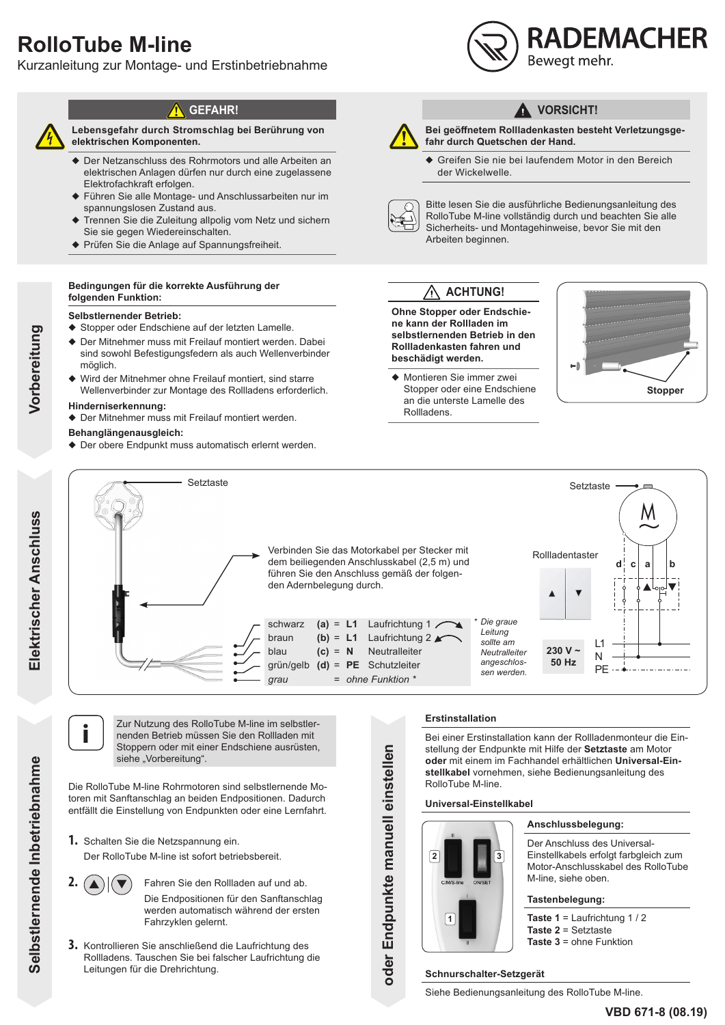# **RolloTube M-line**

## Kurzanleitung zur Montage- und Erstinbetriebnahme

## **GEFAHR!**

**Lebensgefahr durch Stromschlag bei Berührung von elektrischen Komponenten.**

- ◆ Der Netzanschluss des Rohrmotors und alle Arbeiten an elektrischen Anlagen dürfen nur durch eine zugelassene Elektrofachkraft erfolgen.
- ◆ Führen Sie alle Montage- und Anschlussarbeiten nur im spannungslosen Zustand aus.
- Trennen Sie die Zuleitung allpolig vom Netz und sichern Sie sie gegen Wiedereinschalten.
- ◆ Prüfen Sie die Anlage auf Spannungsfreiheit.

#### **Bedingungen für die korrekte Ausführung der folgenden Funktion:**

#### **Selbstlernender Betrieb:**

- ◆ Stopper oder Endschiene auf der letzten Lamelle.
- ◆ Der Mitnehmer muss mit Freilauf montiert werden. Dabei sind sowohl Befestigungsfedern als auch Wellenverbinder möglich.
- ◆ Wird der Mitnehmer ohne Freilauf montiert, sind starre Wellenverbinder zur Montage des Rollladens erforderlich.

#### **Hinderniserkennung:**

**Vorbereitung**

Vorbereitung

**Elektrischer Anschluss**

Elektrischer Anschluss

◆ Der Mitnehmer muss mit Freilauf montiert werden.

#### **Behanglängenausgleich:**

◆ Der obere Endpunkt muss automatisch erlernt werden.



## **VORSICHT!**

**Bei geöffnetem Rollladenkasten besteht Verletzungsgefahr durch Quetschen der Hand.** 

◆ Greifen Sie nie bei laufendem Motor in den Bereich der Wickelwelle.



Bitte lesen Sie die ausführliche Bedienungsanleitung des RolloTube M-line vollständig durch und beachten Sie alle Sicherheits- und Montagehinweise, bevor Sie mit den Arbeiten beginnen.

#### Ą  **ACHTUNG!**

**Ohne Stopper oder Endschiene kann der Rollladen im selbstlernenden Betrieb in den Rollladenkasten fahren und beschädigt werden.**

Montieren Sie immer zwei Stopper oder eine Endschiene an die unterste Lamelle des Rollladens.





**oder Endpunkte manuell einstellen**

oder Endpunkte manuell einstellen



Die RolloTube M-line Rohrmotoren sind selbstlernende Motoren mit Sanftanschlag an beiden Endpositionen. Dadurch entfällt die Einstellung von Endpunkten oder eine Lernfahrt.

**1.** Schalten Sie die Netzspannung ein.

Der RolloTube M-line ist sofort betriebsbereit.

- Fahren Sie den Rollladen auf und ab. Die Endpositionen für den Sanftanschlag werden automatisch während der ersten Fahrzyklen gelernt.
- **3.** Kontrollieren Sie anschließend die Laufrichtung des Rollladens. Tauschen Sie bei falscher Laufrichtung die Leitungen für die Drehrichtung.

## **Erstinstallation**

Bei einer Erstinstallation kann der Rollladenmonteur die Einstellung der Endpunkte mit Hilfe der **Setztaste** am Motor **oder** mit einem im Fachhandel erhältlichen **Universal-Einstellkabel** vornehmen, siehe Bedienungsanleitung des RolloTube M-line.

### **Universal-Einstellkabel**



Der Anschluss des Universal-Einstellkabels erfolgt farbgleich zum Motor-Anschlusskabel des RolloTube M-line, siehe oben.

#### **Tastenbelegung:**

**Anschlussbelegung:** 

**Taste 1** = Laufrichtung 1 / 2 **Taste 2** = Setztaste **Taste 3** = ohne Funktion

### **Schnurschalter-Setzgerät**

Siehe Bedienungsanleitung des RolloTube M-line.